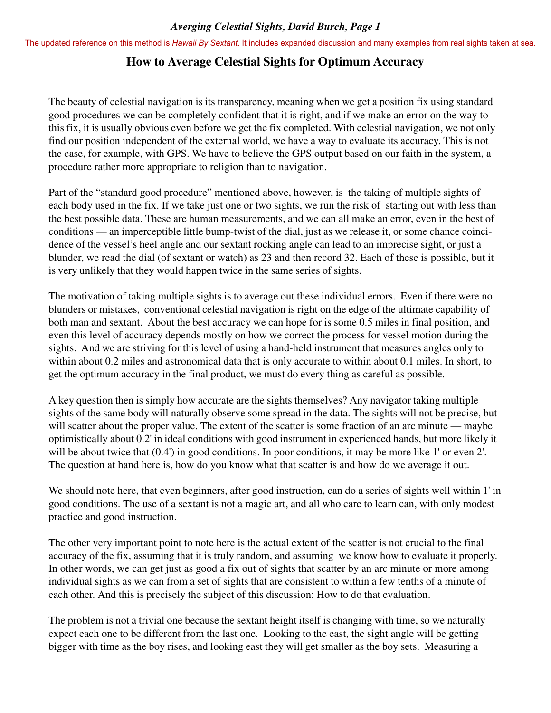The updated reference on this method is *[Hawaii By Sextant](http://www.starpath.com/catalog/books/1992.htm)*. It includes expanded discussion and many examples from real sights taken at sea.

# **How to Average Celestial Sights for Optimum Accuracy**

The beauty of celestial navigation is its transparency, meaning when we get a position fix using standard good procedures we can be completely confident that it is right, and if we make an error on the way to this fix, it is usually obvious even before we get the fix completed. With celestial navigation, we not only find our position independent of the external world, we have a way to evaluate its accuracy. This is not the case, for example, with GPS. We have to believe the GPS output based on our faith in the system, a procedure rather more appropriate to religion than to navigation.

Part of the "standard good procedure" mentioned above, however, is the taking of multiple sights of each body used in the fix. If we take just one or two sights, we run the risk of starting out with less than the best possible data. These are human measurements, and we can all make an error, even in the best of conditions — an imperceptible little bump-twist of the dial, just as we release it, or some chance coincidence of the vessel's heel angle and our sextant rocking angle can lead to an imprecise sight, or just a blunder, we read the dial (of sextant or watch) as 23 and then record 32. Each of these is possible, but it is very unlikely that they would happen twice in the same series of sights.

The motivation of taking multiple sights is to average out these individual errors. Even if there were no blunders or mistakes, conventional celestial navigation is right on the edge of the ultimate capability of both man and sextant. About the best accuracy we can hope for is some 0.5 miles in final position, and even this level of accuracy depends mostly on how we correct the process for vessel motion during the sights. And we are striving for this level of using a hand-held instrument that measures angles only to within about 0.2 miles and astronomical data that is only accurate to within about 0.1 miles. In short, to get the optimum accuracy in the final product, we must do every thing as careful as possible.

A key question then is simply how accurate are the sights themselves? Any navigator taking multiple sights of the same body will naturally observe some spread in the data. The sights will not be precise, but will scatter about the proper value. The extent of the scatter is some fraction of an arc minute — maybe optimistically about 0.2' in ideal conditions with good instrument in experienced hands, but more likely it will be about twice that  $(0.4')$  in good conditions. In poor conditions, it may be more like 1' or even 2'. The question at hand here is, how do you know what that scatter is and how do we average it out.

We should note here, that even beginners, after good instruction, can do a series of sights well within 1' in good conditions. The use of a sextant is not a magic art, and all who care to learn can, with only modest practice and good instruction.

The other very important point to note here is the actual extent of the scatter is not crucial to the final accuracy of the fix, assuming that it is truly random, and assuming we know how to evaluate it properly. In other words, we can get just as good a fix out of sights that scatter by an arc minute or more among individual sights as we can from a set of sights that are consistent to within a few tenths of a minute of each other. And this is precisely the subject of this discussion: How to do that evaluation.

The problem is not a trivial one because the sextant height itself is changing with time, so we naturally expect each one to be different from the last one. Looking to the east, the sight angle will be getting bigger with time as the boy rises, and looking east they will get smaller as the boy sets. Measuring a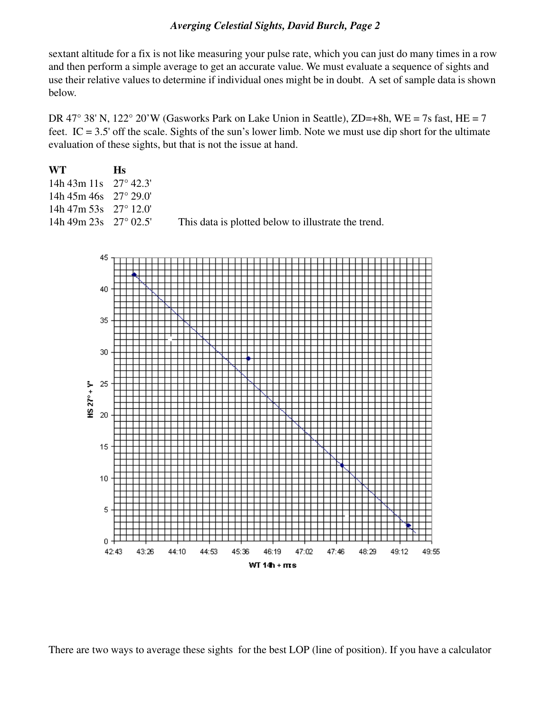#### *Averging Celestial Sights, David Burch, Page 2*

sextant altitude for a fix is not like measuring your pulse rate, which you can just do many times in a row and then perform a simple average to get an accurate value. We must evaluate a sequence of sights and use their relative values to determine if individual ones might be in doubt. A set of sample data is shown below.

DR 47° 38' N, 122° 20'W (Gasworks Park on Lake Union in Seattle), ZD=+8h, WE = 7s fast, HE = 7 feet. IC =  $3.5'$  off the scale. Sights of the sun's lower limb. Note we must use dip short for the ultimate evaluation of these sights, but that is not the issue at hand.

| WT.                                         | Hs |                                                     |
|---------------------------------------------|----|-----------------------------------------------------|
| 14h 43m 11s $27^{\circ}$ 42.3'              |    |                                                     |
| 14h $45m 46s$ $27^{\circ} 29.0'$            |    |                                                     |
| $14h\,47m\,53s$ $27^{\circ}$ $12.0^{\circ}$ |    |                                                     |
| $14h\,49m\,23s$ $27^{\circ}\,02.5'$         |    | This data is plotted below to illustrate the trend. |
|                                             |    |                                                     |



There are two ways to average these sights for the best LOP (line of position). If you have a calculator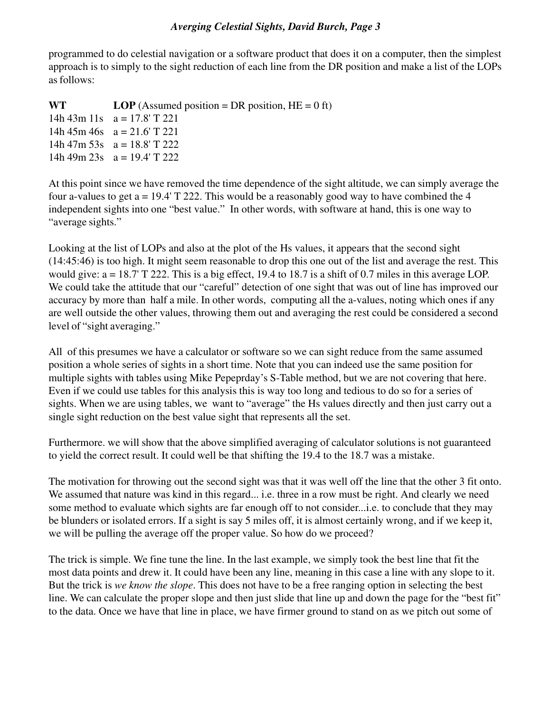## *Averging Celestial Sights, David Burch, Page 3*

programmed to do celestial navigation or a software product that does it on a computer, then the simplest approach is to simply to the sight reduction of each line from the DR position and make a list of the LOPs as follows:

**WT** LOP (Assumed position = DR position,  $HE = 0$  ft) 14h 43m 11s  $a = 17.8'$  T 221 14h 45m 46s  $a = 21.6'$  T 221 14h 47m 53s  $a = 18.8'$  T 222 14h 49m 23s  $a = 19.4'$  T 222

At this point since we have removed the time dependence of the sight altitude, we can simply average the four a-values to get  $a = 19.4'$  T 222. This would be a reasonably good way to have combined the 4 independent sights into one "best value." In other words, with software at hand, this is one way to "average sights."

Looking at the list of LOPs and also at the plot of the Hs values, it appears that the second sight (14:45:46) is too high. It might seem reasonable to drop this one out of the list and average the rest. This would give: a = 18.7' T 222. This is a big effect, 19.4 to 18.7 is a shift of 0.7 miles in this average LOP. We could take the attitude that our "careful" detection of one sight that was out of line has improved our accuracy by more than half a mile. In other words, computing all the a-values, noting which ones if any are well outside the other values, throwing them out and averaging the rest could be considered a second level of "sight averaging."

All of this presumes we have a calculator or software so we can sight reduce from the same assumed position a whole series of sights in a short time. Note that you can indeed use the same position for multiple sights with tables using Mike Pepeprday's S-Table method, but we are not covering that here. Even if we could use tables for this analysis this is way too long and tedious to do so for a series of sights. When we are using tables, we want to "average" the Hs values directly and then just carry out a single sight reduction on the best value sight that represents all the set.

Furthermore. we will show that the above simplified averaging of calculator solutions is not guaranteed to yield the correct result. It could well be that shifting the 19.4 to the 18.7 was a mistake.

The motivation for throwing out the second sight was that it was well off the line that the other 3 fit onto. We assumed that nature was kind in this regard... i.e. three in a row must be right. And clearly we need some method to evaluate which sights are far enough off to not consider...i.e. to conclude that they may be blunders or isolated errors. If a sight is say 5 miles off, it is almost certainly wrong, and if we keep it, we will be pulling the average off the proper value. So how do we proceed?

The trick is simple. We fine tune the line. In the last example, we simply took the best line that fit the most data points and drew it. It could have been any line, meaning in this case a line with any slope to it. But the trick is *we know the slope*. This does not have to be a free ranging option in selecting the best line. We can calculate the proper slope and then just slide that line up and down the page for the "best fit" to the data. Once we have that line in place, we have firmer ground to stand on as we pitch out some of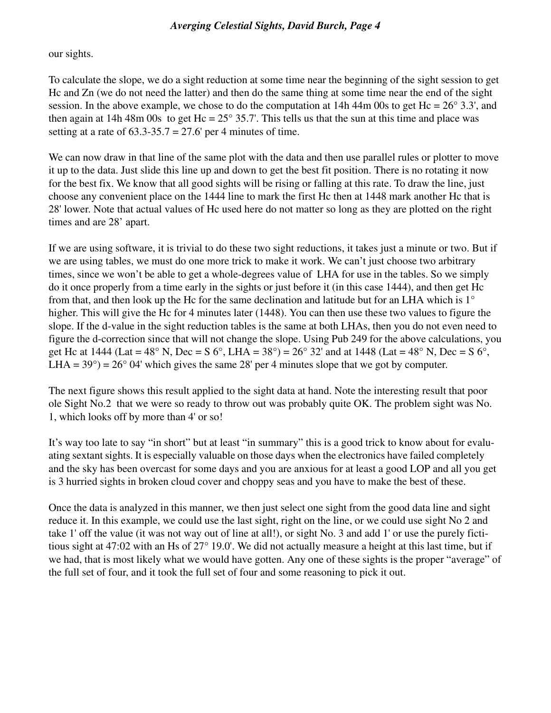#### *Averging Celestial Sights, David Burch, Page 4*

our sights.

To calculate the slope, we do a sight reduction at some time near the beginning of the sight session to get Hc and Zn (we do not need the latter) and then do the same thing at some time near the end of the sight session. In the above example, we chose to do the computation at 14h 44m 00s to get Hc =  $26^{\circ}$  3.3', and then again at 14h 48m 00s to get  $\text{Hc} = 25^{\circ}$  35.7'. This tells us that the sun at this time and place was setting at a rate of  $63.3-35.7 = 27.6$  per 4 minutes of time.

We can now draw in that line of the same plot with the data and then use parallel rules or plotter to move it up to the data. Just slide this line up and down to get the best fit position. There is no rotating it now for the best fix. We know that all good sights will be rising or falling at this rate. To draw the line, just choose any convenient place on the 1444 line to mark the first Hc then at 1448 mark another Hc that is 28' lower. Note that actual values of Hc used here do not matter so long as they are plotted on the right times and are 28' apart.

If we are using software, it is trivial to do these two sight reductions, it takes just a minute or two. But if we are using tables, we must do one more trick to make it work. We can't just choose two arbitrary times, since we won't be able to get a whole-degrees value of LHA for use in the tables. So we simply do it once properly from a time early in the sights or just before it (in this case 1444), and then get Hc from that, and then look up the Hc for the same declination and latitude but for an LHA which is 1° higher. This will give the Hc for 4 minutes later (1448). You can then use these two values to figure the slope. If the d-value in the sight reduction tables is the same at both LHAs, then you do not even need to figure the d-correction since that will not change the slope. Using Pub 249 for the above calculations, you get Hc at 1444 (Lat = 48° N, Dec = S 6°, LHA = 38°) = 26° 32' and at 1448 (Lat = 48° N, Dec = S 6°, LHA =  $39^{\circ}$ ) =  $26^{\circ}$  04' which gives the same 28' per 4 minutes slope that we got by computer.

The next figure shows this result applied to the sight data at hand. Note the interesting result that poor ole Sight No.2 that we were so ready to throw out was probably quite OK. The problem sight was No. 1, which looks off by more than 4' or so!

It's way too late to say "in short" but at least "in summary" this is a good trick to know about for evaluating sextant sights. It is especially valuable on those days when the electronics have failed completely and the sky has been overcast for some days and you are anxious for at least a good LOP and all you get is 3 hurried sights in broken cloud cover and choppy seas and you have to make the best of these.

Once the data is analyzed in this manner, we then just select one sight from the good data line and sight reduce it. In this example, we could use the last sight, right on the line, or we could use sight No 2 and take 1' off the value (it was not way out of line at all!), or sight No. 3 and add 1' or use the purely fictitious sight at 47:02 with an Hs of 27° 19.0'. We did not actually measure a height at this last time, but if we had, that is most likely what we would have gotten. Any one of these sights is the proper "average" of the full set of four, and it took the full set of four and some reasoning to pick it out.